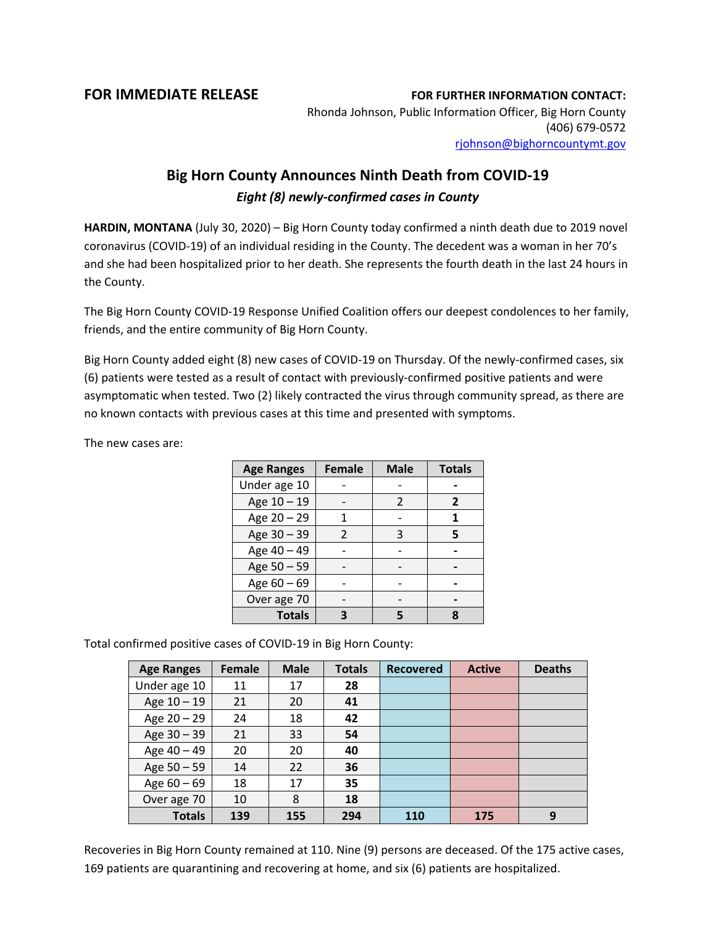## **FOR IMMEDIATE RELEASE FOR FURTHER INFORMATION CONTACT:**

Rhonda Johnson, Public Information Officer, Big Horn County (406) 679-0572 [rjohnson@bighorncountymt.gov](mailto:rjohnson@bighorncountymt.gov)

## **Big Horn County Announces Ninth Death from COVID-19** *Eight (8) newly-confirmed cases in County*

**HARDIN, MONTANA** (July 30, 2020) – Big Horn County today confirmed a ninth death due to 2019 novel coronavirus (COVID-19) of an individual residing in the County. The decedent was a woman in her 70's and she had been hospitalized prior to her death. She represents the fourth death in the last 24 hours in the County.

The Big Horn County COVID-19 Response Unified Coalition offers our deepest condolences to her family, friends, and the entire community of Big Horn County.

Big Horn County added eight (8) new cases of COVID-19 on Thursday. Of the newly-confirmed cases, six (6) patients were tested as a result of contact with previously-confirmed positive patients and were asymptomatic when tested. Two (2) likely contracted the virus through community spread, as there are no known contacts with previous cases at this time and presented with symptoms.

The new cases are:

| <b>Age Ranges</b> | <b>Female</b> | <b>Male</b>    | <b>Totals</b> |
|-------------------|---------------|----------------|---------------|
| Under age 10      |               |                |               |
| Age 10 - 19       |               | $\mathfrak{p}$ | 2             |
| Age 20 - 29       |               |                | 1             |
| Age 30 - 39       | $\mathcal{P}$ | 3              | 5             |
| Age 40 - 49       |               |                |               |
| Age 50 - 59       |               |                |               |
| Age 60 - 69       |               |                |               |
| Over age 70       |               |                |               |
| <b>Totals</b>     |               |                |               |

Total confirmed positive cases of COVID-19 in Big Horn County:

| <b>Age Ranges</b> | Female | <b>Male</b> | <b>Totals</b> | <b>Recovered</b> | <b>Active</b> | <b>Deaths</b> |
|-------------------|--------|-------------|---------------|------------------|---------------|---------------|
| Under age 10      | 11     | 17          | 28            |                  |               |               |
| Age 10 - 19       | 21     | 20          | 41            |                  |               |               |
| Age $20 - 29$     | 24     | 18          | 42            |                  |               |               |
| Age $30 - 39$     | 21     | 33          | 54            |                  |               |               |
| Age 40 - 49       | 20     | 20          | 40            |                  |               |               |
| Age $50 - 59$     | 14     | 22          | 36            |                  |               |               |
| Age $60 - 69$     | 18     | 17          | 35            |                  |               |               |
| Over age 70       | 10     | 8           | 18            |                  |               |               |
| <b>Totals</b>     | 139    | 155         | 294           | 110              | 175           | 9             |

Recoveries in Big Horn County remained at 110. Nine (9) persons are deceased. Of the 175 active cases, 169 patients are quarantining and recovering at home, and six (6) patients are hospitalized.